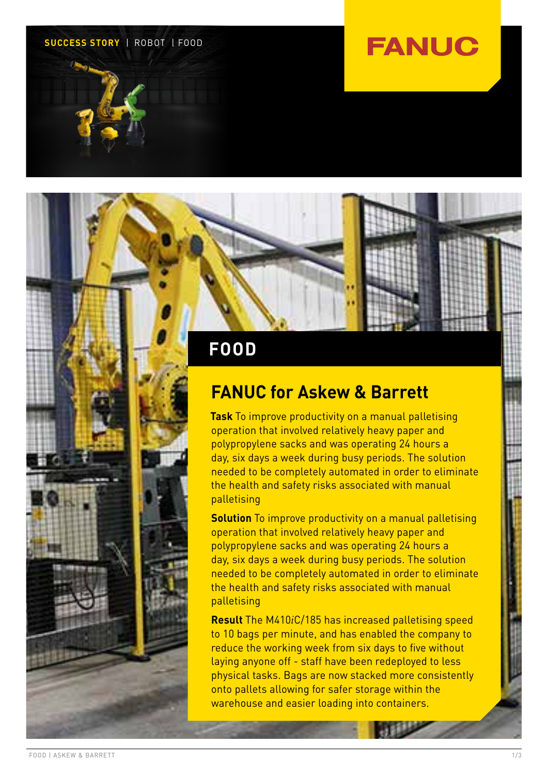#### **SUCCESS STORY** | ROBOT | FOOD

## **FANUC**

### **FOOD**

### **FANUC for Askew & Barrett**

**Task** To improve productivity on a manual palletising operation that involved relatively heavy paper and polypropylene sacks and was operating 24 hours a day, six days a week during busy periods. The solution needed to be completely automated in order to eliminate the health and safety risks associated with manual palletising

**Solution** To improve productivity on a manual palletising operation that involved relatively heavy paper and polypropylene sacks and was operating 24 hours a day, six days a week during busy periods. The solution needed to be completely automated in order to eliminate the health and safety risks associated with manual palletising

**Result** The M410*i*C/185 has increased palletising speed to 10 bags per minute, and has enabled the company to reduce the working week from six days to five without laying anyone off - staff have been redeployed to less physical tasks. Bags are now stacked more consistently onto pallets allowing for safer storage within the warehouse and easier loading into containers.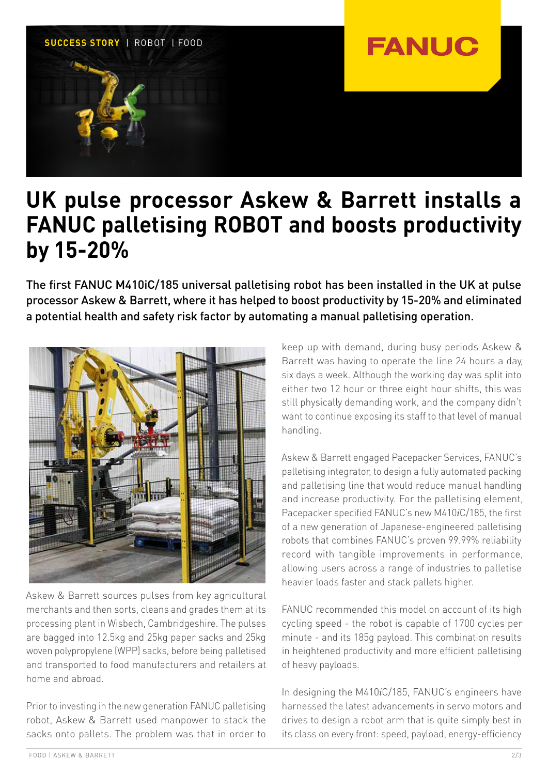

## **UK pulse processor Askew & Barrett installs a FANUC palletising ROBOT and boosts productivity by 15-20%**

The first FANUC M410iC/185 universal palletising robot has been installed in the UK at pulse processor Askew & Barrett, where it has helped to boost productivity by 15-20% and eliminated a potential health and safety risk factor by automating a manual palletising operation.



Askew & Barrett sources pulses from key agricultural merchants and then sorts, cleans and grades them at its processing plant in Wisbech, Cambridgeshire. The pulses are bagged into 12.5kg and 25kg paper sacks and 25kg woven polypropylene (WPP) sacks, before being palletised and transported to food manufacturers and retailers at home and abroad.

Prior to investing in the new generation FANUC palletising robot, Askew & Barrett used manpower to stack the sacks onto pallets. The problem was that in order to keep up with demand, during busy periods Askew & Barrett was having to operate the line 24 hours a day, six days a week. Although the working day was split into either two 12 hour or three eight hour shifts, this was still physically demanding work, and the company didn't want to continue exposing its staff to that level of manual handling.

Askew & Barrett engaged Pacepacker Services, FANUC's palletising integrator, to design a fully automated packing and palletising line that would reduce manual handling and increase productivity. For the palletising element, Pacepacker specified FANUC's new M410*i*C/185, the first of a new generation of Japanese-engineered palletising robots that combines FANUC's proven 99.99% reliability record with tangible improvements in performance, allowing users across a range of industries to palletise heavier loads faster and stack pallets higher.

FANUC recommended this model on account of its high cycling speed - the robot is capable of 1700 cycles per minute - and its 185g payload. This combination results in heightened productivity and more efficient palletising of heavy payloads.

In designing the M410*i*C/185, FANUC's engineers have harnessed the latest advancements in servo motors and drives to design a robot arm that is quite simply best in its class on every front: speed, payload, energy-efficiency